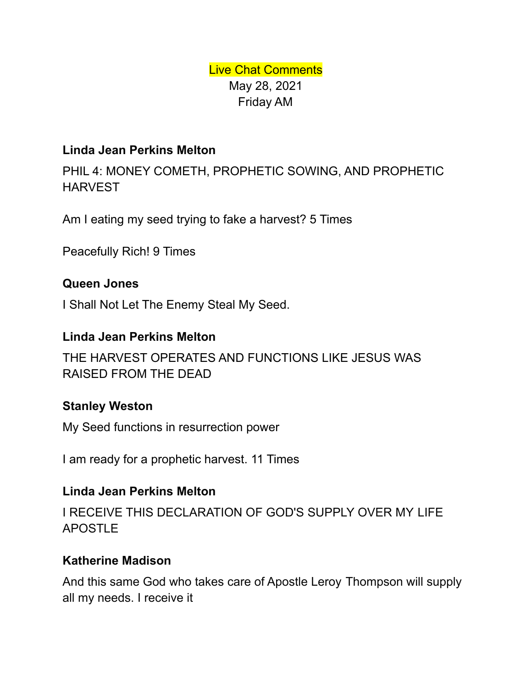# Live Chat Comments May 28, 2021 Friday AM

## **Linda Jean Perkins Melton**

PHIL 4: MONEY COMETH, PROPHETIC SOWING, AND PROPHETIC **HARVEST** 

Am I eating my seed trying to fake a harvest? 5 Times

Peacefully Rich! 9 Times

## **Queen Jones**

I Shall Not Let The Enemy Steal My Seed.

## **Linda Jean Perkins Melton**

THE HARVEST OPERATES AND FUNCTIONS LIKE JESUS WAS RAISED FROM THE DEAD

### **Stanley Weston**

My Seed functions in resurrection power

I am ready for a prophetic harvest. 11 Times

## **Linda Jean Perkins Melton**

I RECEIVE THIS DECLARATION OF GOD'S SUPPLY OVER MY LIFE APOSTLE

### **Katherine Madison**

And this same God who takes care of Apostle Leroy Thompson will supply all my needs. I receive it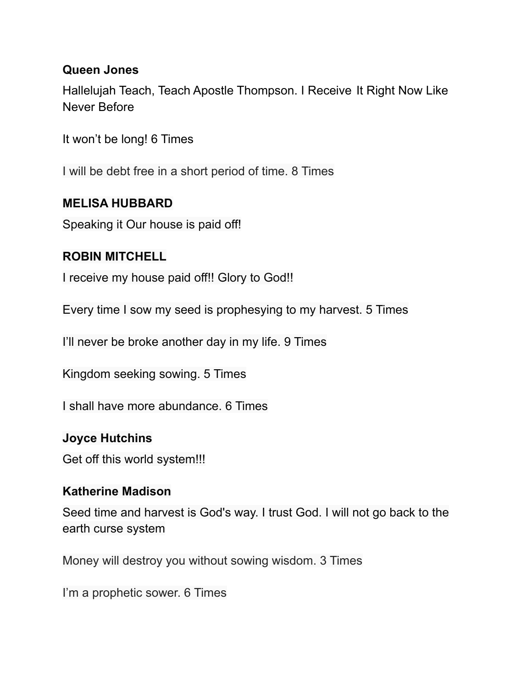#### **Queen Jones**

Hallelujah Teach, Teach Apostle Thompson. I Receive It Right Now Like Never Before

It won't be long! 6 Times

I will be debt free in a short period of time. 8 Times

#### **MELISA HUBBARD**

Speaking it Our house is paid off!

#### **ROBIN MITCHELL**

I receive my house paid off!! Glory to God!!

Every time I sow my seed is prophesying to my harvest. 5 Times

I'll never be broke another day in my life. 9 Times

Kingdom seeking sowing. 5 Times

I shall have more abundance. 6 Times

### **Joyce Hutchins**

Get off this world system!!!

#### **Katherine Madison**

Seed time and harvest is God's way. I trust God. I will not go back to the earth curse system

Money will destroy you without sowing wisdom. 3 Times

I'm a prophetic sower. 6 Times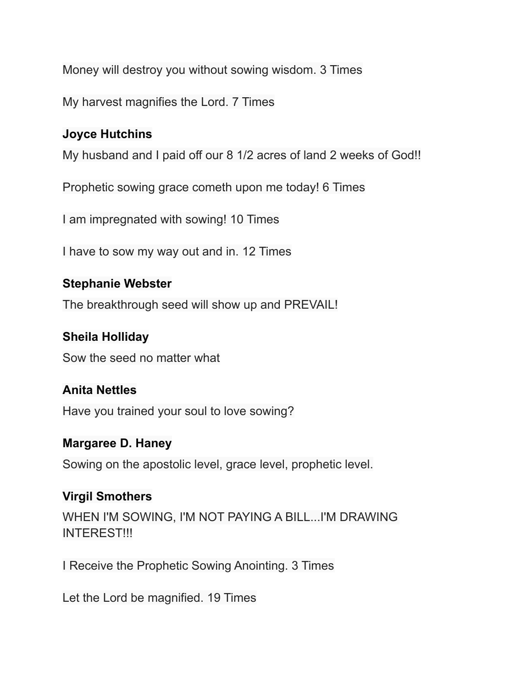Money will destroy you without sowing wisdom. 3 Times

My harvest magnifies the Lord. 7 Times

## **Joyce Hutchins**

My husband and I paid off our 8 1/2 acres of land 2 weeks of God!!

Prophetic sowing grace cometh upon me today! 6 Times

I am impregnated with sowing! 10 Times

I have to sow my way out and in. 12 Times

## **Stephanie Webster**

The breakthrough seed will show up and PREVAIL!

## **Sheila Holliday**

Sow the seed no matter what

### **Anita Nettles**

Have you trained your soul to love sowing?

#### **Margaree D. Haney**

Sowing on the apostolic level, grace level, prophetic level.

### **Virgil Smothers**

WHEN I'M SOWING, I'M NOT PAYING A BILL...I'M DRAWING INTEREST!!!

I Receive the Prophetic Sowing Anointing. 3 Times

Let the Lord be magnified. 19 Times